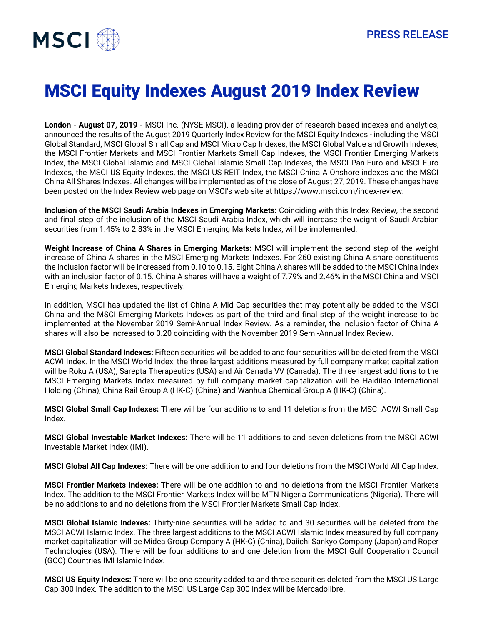

## MSCI Equity Indexes August 2019 Index Review

**London - August 07, 2019 -** MSCI Inc. (NYSE:MSCI), a leading provider of research-based indexes and analytics, announced the results of the August 2019 Quarterly Index Review for the MSCI Equity Indexes - including the MSCI Global Standard, MSCI Global Small Cap and MSCI Micro Cap Indexes, the MSCI Global Value and Growth Indexes, the MSCI Frontier Markets and MSCI Frontier Markets Small Cap Indexes, the MSCI Frontier Emerging Markets Index, the MSCI Global Islamic and MSCI Global Islamic Small Cap Indexes, the MSCI Pan-Euro and MSCI Euro Indexes, the MSCI US Equity Indexes, the MSCI US REIT Index, the MSCI China A Onshore indexes and the MSCI China All Shares Indexes. All changes will be implemented as of the close of August 27, 2019. These changes have been posted on the Index Review web page on MSCI's web site at https://www.msci.com/index-review.

**Inclusion of the MSCI Saudi Arabia Indexes in Emerging Markets:** Coinciding with this Index Review, the second and final step of the inclusion of the MSCI Saudi Arabia Index, which will increase the weight of Saudi Arabian securities from 1.45% to 2.83% in the MSCI Emerging Markets Index, will be implemented.

**Weight Increase of China A Shares in Emerging Markets:** MSCI will implement the second step of the weight increase of China A shares in the MSCI Emerging Markets Indexes. For 260 existing China A share constituents the inclusion factor will be increased from 0.10 to 0.15. Eight China A shares will be added to the MSCI China Index with an inclusion factor of 0.15. China A shares will have a weight of 7.79% and 2.46% in the MSCI China and MSCI Emerging Markets Indexes, respectively.

In addition, MSCI has updated the list of China A Mid Cap securities that may potentially be added to the MSCI China and the MSCI Emerging Markets Indexes as part of the third and final step of the weight increase to be implemented at the November 2019 Semi-Annual Index Review. As a reminder, the inclusion factor of China A shares will also be increased to 0.20 coinciding with the November 2019 Semi-Annual Index Review.

**MSCI Global Standard Indexes:** Fifteen securities will be added to and four securities will be deleted from the MSCI ACWI Index. In the MSCI World Index, the three largest additions measured by full company market capitalization will be Roku A (USA), Sarepta Therapeutics (USA) and Air Canada VV (Canada). The three largest additions to the MSCI Emerging Markets Index measured by full company market capitalization will be Haidilao International Holding (China), China Rail Group A (HK-C) (China) and Wanhua Chemical Group A (HK-C) (China).

**MSCI Global Small Cap Indexes:** There will be four additions to and 11 deletions from the MSCI ACWI Small Cap Index.

**MSCI Global Investable Market Indexes:** There will be 11 additions to and seven deletions from the MSCI ACWI Investable Market Index (IMI).

**MSCI Global All Cap Indexes:** There will be one addition to and four deletions from the MSCI World All Cap Index.

**MSCI Frontier Markets Indexes:** There will be one addition to and no deletions from the MSCI Frontier Markets Index. The addition to the MSCI Frontier Markets Index will be MTN Nigeria Communications (Nigeria). There will be no additions to and no deletions from the MSCI Frontier Markets Small Cap Index.

**MSCI Global Islamic Indexes:** Thirty-nine securities will be added to and 30 securities will be deleted from the MSCI ACWI Islamic Index. The three largest additions to the MSCI ACWI Islamic Index measured by full company market capitalization will be Midea Group Company A (HK-C) (China), Daiichi Sankyo Company (Japan) and Roper Technologies (USA). There will be four additions to and one deletion from the MSCI Gulf Cooperation Council (GCC) Countries IMI Islamic Index.

**MSCI US Equity Indexes:** There will be one security added to and three securities deleted from the MSCI US Large Cap 300 Index. The addition to the MSCI US Large Cap 300 Index will be Mercadolibre.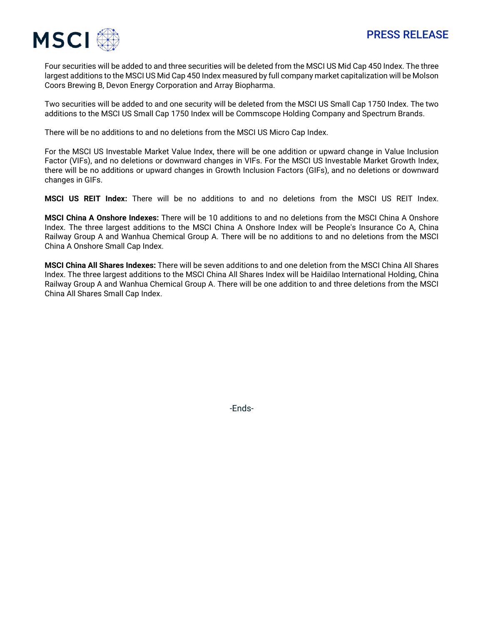

Four securities will be added to and three securities will be deleted from the MSCI US Mid Cap 450 Index. The three largest additions to the MSCI US Mid Cap 450 Index measured by full company market capitalization will be Molson Coors Brewing B, Devon Energy Corporation and Array Biopharma.

Two securities will be added to and one security will be deleted from the MSCI US Small Cap 1750 Index. The two additions to the MSCI US Small Cap 1750 Index will be Commscope Holding Company and Spectrum Brands.

There will be no additions to and no deletions from the MSCI US Micro Cap Index.

For the MSCI US Investable Market Value Index, there will be one addition or upward change in Value Inclusion Factor (VIFs), and no deletions or downward changes in VIFs. For the MSCI US Investable Market Growth Index, there will be no additions or upward changes in Growth Inclusion Factors (GIFs), and no deletions or downward changes in GIFs.

**MSCI US REIT Index:** There will be no additions to and no deletions from the MSCI US REIT Index.

**MSCI China A Onshore Indexes:** There will be 10 additions to and no deletions from the MSCI China A Onshore Index. The three largest additions to the MSCI China A Onshore Index will be People's Insurance Co A, China Railway Group A and Wanhua Chemical Group A. There will be no additions to and no deletions from the MSCI China A Onshore Small Cap Index.

**MSCI China All Shares Indexes:** There will be seven additions to and one deletion from the MSCI China All Shares Index. The three largest additions to the MSCI China All Shares Index will be Haidilao International Holding, China Railway Group A and Wanhua Chemical Group A. There will be one addition to and three deletions from the MSCI China All Shares Small Cap Index.

-Ends-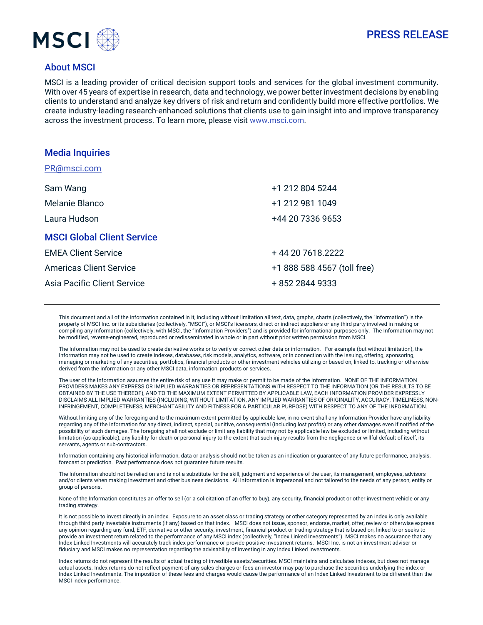



## About MSCI

MSCI is a leading provider of critical decision support tools and services for the global investment community. With over 45 years of expertise in research, data and technology, we power better investment decisions by enabling clients to understand and analyze key drivers of risk and return and confidently build more effective portfolios. We create industry-leading research-enhanced solutions that clients use to gain insight into and improve transparency across the investment process. To learn more, please visit [www.msci.com.](http://www.msci.com/)

| <b>Media Inquiries</b>            |                             |
|-----------------------------------|-----------------------------|
| PR@msci.com                       |                             |
| Sam Wang                          | +1 212 804 5244             |
| Melanie Blanco                    | +1 212 981 1049             |
| Laura Hudson                      | +44 20 7336 9653            |
| <b>MSCI Global Client Service</b> |                             |
| <b>EMEA Client Service</b>        | +44 20 7618 2222            |
| <b>Americas Client Service</b>    | +1 888 588 4567 (toll free) |
| Asia Pacific Client Service       | + 852 2844 9333             |

This document and all of the information contained in it, including without limitation all text, data, graphs, charts (collectively, the "Information") is the property of MSCI Inc. or its subsidiaries (collectively, "MSCI"), or MSCI's licensors, direct or indirect suppliers or any third party involved in making or compiling any Information (collectively, with MSCI, the "Information Providers") and is provided for informational purposes only. The Information may not be modified, reverse-engineered, reproduced or redisseminated in whole or in part without prior written permission from MSCI.

The Information may not be used to create derivative works or to verify or correct other data or information. For example (but without limitation), the Information may not be used to create indexes, databases, risk models, analytics, software, or in connection with the issuing, offering, sponsoring, managing or marketing of any securities, portfolios, financial products or other investment vehicles utilizing or based on, linked to, tracking or otherwise derived from the Information or any other MSCI data, information, products or services.

The user of the Information assumes the entire risk of any use it may make or permit to be made of the Information. NONE OF THE INFORMATION PROVIDERS MAKES ANY EXPRESS OR IMPLIED WARRANTIES OR REPRESENTATIONS WITH RESPECT TO THE INFORMATION (OR THE RESULTS TO BE OBTAINED BY THE USE THEREOF), AND TO THE MAXIMUM EXTENT PERMITTED BY APPLICABLE LAW, EACH INFORMATION PROVIDER EXPRESSLY DISCLAIMS ALL IMPLIED WARRANTIES (INCLUDING, WITHOUT LIMITATION, ANY IMPLIED WARRANTIES OF ORIGINALITY, ACCURACY, TIMELINESS, NON-INFRINGEMENT, COMPLETENESS, MERCHANTABILITY AND FITNESS FOR A PARTICULAR PURPOSE) WITH RESPECT TO ANY OF THE INFORMATION.

Without limiting any of the foregoing and to the maximum extent permitted by applicable law, in no event shall any Information Provider have any liability regarding any of the Information for any direct, indirect, special, punitive, consequential (including lost profits) or any other damages even if notified of the possibility of such damages. The foregoing shall not exclude or limit any liability that may not by applicable law be excluded or limited, including without limitation (as applicable), any liability for death or personal injury to the extent that such injury results from the negligence or willful default of itself, its servants, agents or sub-contractors.

Information containing any historical information, data or analysis should not be taken as an indication or guarantee of any future performance, analysis, forecast or prediction. Past performance does not guarantee future results.

The Information should not be relied on and is not a substitute for the skill, judgment and experience of the user, its management, employees, advisors and/or clients when making investment and other business decisions. All Information is impersonal and not tailored to the needs of any person, entity or group of persons.

None of the Information constitutes an offer to sell (or a solicitation of an offer to buy), any security, financial product or other investment vehicle or any trading strategy.

It is not possible to invest directly in an index. Exposure to an asset class or trading strategy or other category represented by an index is only available through third party investable instruments (if any) based on that index. MSCI does not issue, sponsor, endorse, market, offer, review or otherwise express any opinion regarding any fund, ETF, derivative or other security, investment, financial product or trading strategy that is based on, linked to or seeks to provide an investment return related to the performance of any MSCI index (collectively, "Index Linked Investments"). MSCI makes no assurance that any Index Linked Investments will accurately track index performance or provide positive investment returns. MSCI Inc. is not an investment adviser or fiduciary and MSCI makes no representation regarding the advisability of investing in any Index Linked Investments.

Index returns do not represent the results of actual trading of investible assets/securities. MSCI maintains and calculates indexes, but does not manage actual assets. Index returns do not reflect payment of any sales charges or fees an investor may pay to purchase the securities underlying the index or Index Linked Investments. The imposition of these fees and charges would cause the performance of an Index Linked Investment to be different than the MSCI index performance.